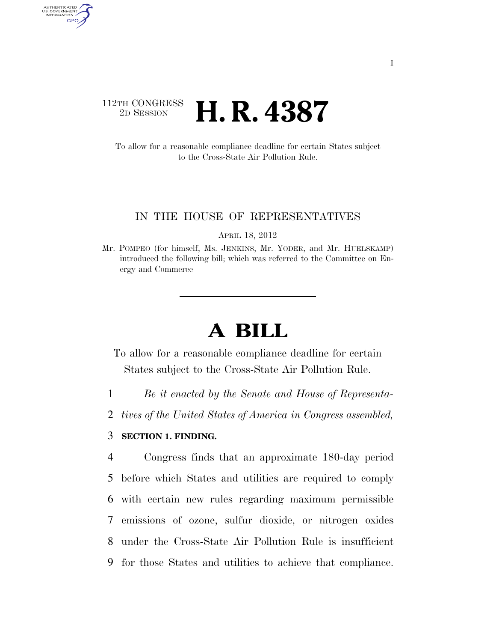## 112TH CONGRESS <sup>2D SESSION</sup> **H. R. 4387**

AUTHENTICATED U.S. GOVERNMENT GPO

> To allow for a reasonable compliance deadline for certain States subject to the Cross-State Air Pollution Rule.

#### IN THE HOUSE OF REPRESENTATIVES

APRIL 18, 2012

Mr. POMPEO (for himself, Ms. JENKINS, Mr. YODER, and Mr. HUELSKAMP) introduced the following bill; which was referred to the Committee on Energy and Commerce

# **A BILL**

To allow for a reasonable compliance deadline for certain States subject to the Cross-State Air Pollution Rule.

1 *Be it enacted by the Senate and House of Representa-*

2 *tives of the United States of America in Congress assembled,* 

### 3 **SECTION 1. FINDING.**

 Congress finds that an approximate 180-day period before which States and utilities are required to comply with certain new rules regarding maximum permissible emissions of ozone, sulfur dioxide, or nitrogen oxides under the Cross-State Air Pollution Rule is insufficient for those States and utilities to achieve that compliance.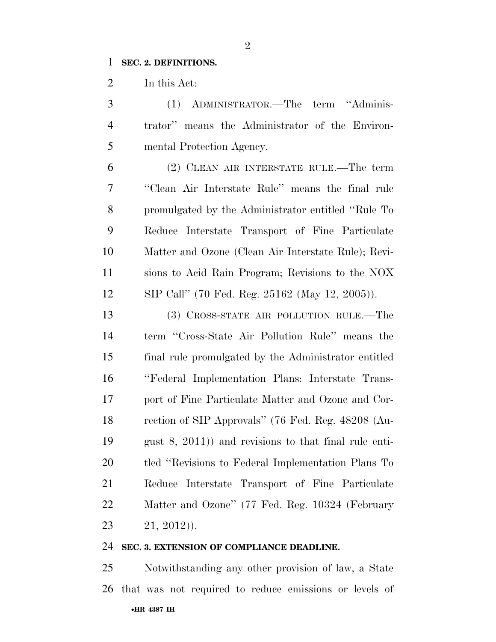#### **SEC. 2. DEFINITIONS.**

In this Act:

| 3              | (1) ADMINISTRATOR.—The term "Adminis-                   |
|----------------|---------------------------------------------------------|
| $\overline{4}$ | trator" means the Administrator of the Environ-         |
| 5              | mental Protection Agency.                               |
| 6              | (2) CLEAN AIR INTERSTATE RULE.—The term                 |
| 7              | "Clean Air Interstate Rule" means the final rule        |
| 8              | promulgated by the Administrator entitled "Rule To      |
| 9              | Reduce Interstate Transport of Fine Particulate         |
| 10             | Matter and Ozone (Clean Air Interstate Rule); Revi-     |
| 11             | sions to Acid Rain Program; Revisions to the NOX        |
| 12             | SIP Call" (70 Fed. Reg. 25162 (May 12, 2005)).          |
| 13             | (3) CROSS-STATE AIR POLLUTION RULE.—The                 |
| 14             | term "Cross-State Air Pollution Rule" means the         |
| 15             | final rule promulgated by the Administrator entitled    |
| 16             | "Federal Implementation Plans: Interstate Trans-        |
| 17             | port of Fine Particulate Matter and Ozone and Cor-      |
| 18             | rection of SIP Approvals" (76 Fed. Reg. 48208 (Au-      |
| 19             | gust $(8, 2011)$ and revisions to that final rule enti- |
| 20             | tled "Revisions to Federal Implementation Plans To      |
| 21             | Interstate Transport of Fine Particulate<br>Reduce      |
| 22             | Matter and Ozone" (77 Fed. Reg. 10324 (February         |
| 23             | $21, 2012)$ .                                           |

## **SEC. 3. EXTENSION OF COMPLIANCE DEADLINE.**

•**HR 4387 IH** Notwithstanding any other provision of law, a State that was not required to reduce emissions or levels of